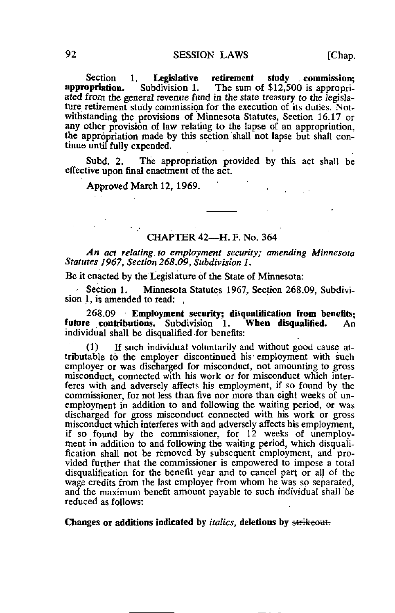Section 1. Legislative retirement study commission;<br>appropriation. Subdivision 1. The sum of \$12.500 is appropri-Subdivision 1. The sum of  $$12,500$  is appropriated from the general revenue fund in the state treasury to the legislature retirement study commission for the execution of its duties. Notwithstanding the provisions of Minnesota Statutes, Section 16.17 or any other provision of law relating to the lapse of an appropriation. the appropriation made by this section shall not lapse but shall continue until fully expended.

Subd. 2. The appropriation provided by this act shall be effective upon final enactment of the act.

Approved March 12, 1969.

## CHAPTER 42—H. F. No. 364

An act relating, to employment security; amending Minnesota Statutes 1967, Section 268.09, Subdivision 1.

Be it enacted by the Legislature of the State of Minnesota:

Section 1. Minnesota Statutes 1967, Section 268.09, Subdivision 1, is amended to read:

268,09 Employment security; disqualification from benefits;<br>e contributions. Subdivision 1. When disqualified. An future contributions. Subdivision 1. individual shall be disqualified for benefits:

(1) If such individual voluntarily and without good cause attributable to the employer discontinued his employment with such employer or was discharged for misconduct, not amounting to gross misconduct, connected with his work or for misconduct which interferes with and adversely affects his employment, if so found by the commissioner, for not less than five nor more than eight weeks of unemployment in addition to and following the waiting period, or was discharged for gross misconduct connected with his work or gross misconduct which interferes with and adversely affects his employment, if so found by the commissioner, for 12 weeks of unemployment in addition to and following the waiting period, which disqualification shall not be removed by subsequent employment, and provided further that the commissioner is empowered to impose a total disqualification for the benefit year and to cancel part or all of the wage credits from the last employer from whom he was so separated, and the maximum benefit amount payable to such individual shall be reduced as follows:

Changes or additions indicated by *italics*, deletions by strikeout.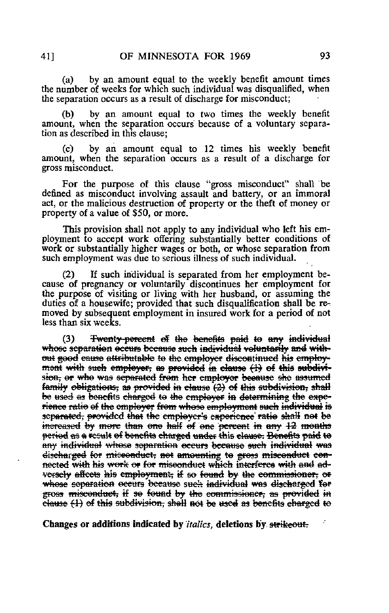by an amount equal to the weekly benefit amount times  $(a)$ the number of weeks for which such individual was disqualified, when the separation occurs as a result of discharge for misconduct;

by an amount equal to two times the weekly benefit (b) amount, when the separation occurs because of a voluntary separation as described in this clause:

by an amount equal to 12 times his weekly benefit  $(c)$ amount, when the separation occurs as a result of a discharge for gross misconduct.

For the purpose of this clause "gross misconduct" shall be defined as misconduct involving assault and battery, or an immoral act, or the malicious destruction of property or the theft of money or property of a value of \$50, or more.

This provision shall not apply to any individual who left his employment to accept work offering substantially better conditions of work or substantially higher wages or both, or whose separation from such employment was due to serious illness of such individual.

If such individual is separated from her employment be- $(2)$ cause of pregnancy or voluntarily discontinues her employment for the purpose of visiting or living with her husband, or assuming the duties of a housewife; provided that such disqualification shall be removed by subsequent employment in insured work for a period of not less than six weeks.

Twenty-percent of the benefits paid to any individual  $(3)$ whose separation occurs because such individual voluntarily and without good cause attributable to the employer discontinued his employmont with such employer, as provided in clause (1) of this subdivision, or who was separated from her employer because she assumed family obligations, as provided in clause (2) of this subdivision, shall be used as benefits charged to the employer in determining the experiance ratio of the employer from whose employment such individual is separated, provided that the employer's experience ratio shall not be increased by more than one half of one percent in any 12 months period as a result of benefits charged under this clause. Benefits paid to any individual whose separation occurs because such individual was discharged for miseonduct, not amounting to gross misconduct connected with his work or for miseonduct which interferes with and adversely affects his employment, if so found by the commissioner, or whose coparation occurs because such individual was discharged for gross misconduct, if so found by the commissioner, as provided in clause (1) of this subdivision, shell not be used as benefits charged to

Changes or additions indicated by *italics*, deletions by strikeout.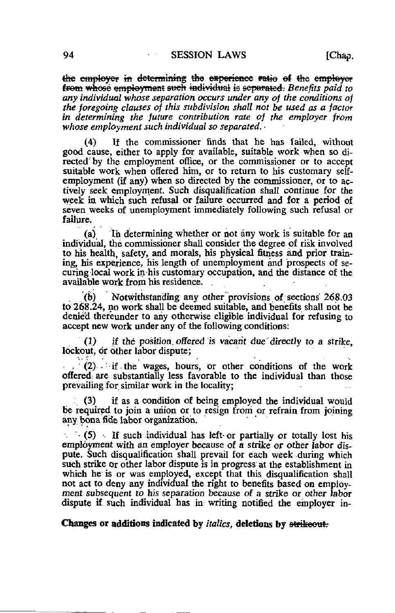the employer in determining the experience ratio of the employer from whose employment such individual is separated. Benefits paid to any individual whose separation occurs under any of the conditions of the foregoing clauses of this subdivision shall not be used as a factor in determining the future contribution rate of the employer from whose employment such individual so separated.

(4) If the commissioner finds that he has failed, without good cause, either to apply for available, suitable work when so directed'by the employment office, or the commissioner or to accept suitable work when offered him, or to return to his customary selfemployment (if any) when so directed by the commissioner, or to actively seek employment. Such disqualification shall continue for the week in which such refusal or failure occurred and for a period of seven weeks of unemployment immediately following such refusal or failure.

(a) In determining whether or not any work is suitable for an individual, the commissioner shall consider the degree of risk involved to his health, safety, and morals, his physical fitness and prior training, his experience, his length of unemployment and prospects of securing local work in-his customary occupation, and the distance of the available work from his residence.

(b) Notwithstanding any other provisions of sections 268.03 to 268.24, no work shall be deemed suitable, and benefits shall not be denied thereunder to any otherwise eligible individual for refusing to accept new work under any of the following conditions:

(1) if the position, offered is vacant due directly to a strike, lockout, or other labor dispute;

 $(2)$  if the wages, hours, or other conditions of the work offered: are substantially less favorable to the individual than those prevailing for similar work in the locality;

(3) if as a condition of being employed the individual would be required to join a union or to resign from or refrain from joining any bona fide labor organization.

 $\sim$  (5) •– If such individual has left or partially or totally lost his employment with an employer because of a strike or other labor dispute. Such disqualification shall prevail for each week during which such strike or other labor dispute is in progress at the establishment in which he is or was employed, except that this disqualification shall not act to deny any individual the right to benefits based on employment subsequent to his separation because of a strike or other labor dispute if such individual has in writing notified the employer in-

Changes or additions indicated by *italics*, deletions by strikeout.